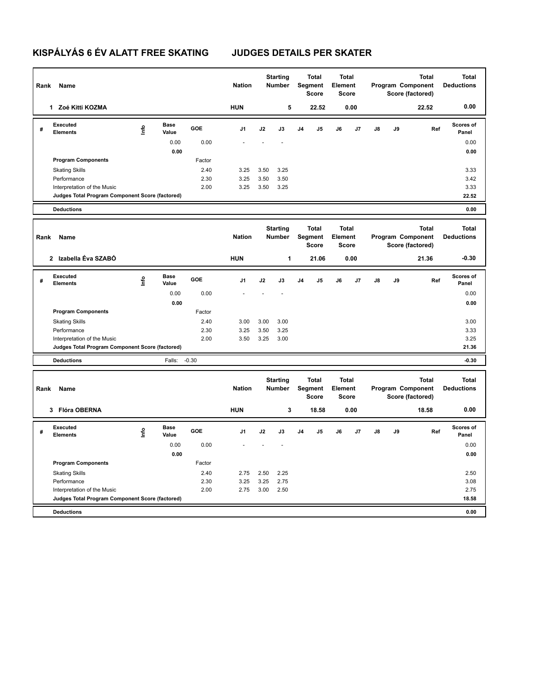## **KISPÁLYÁS 6 ÉV ALATT FREE SKATING JUDGES DETAILS PER SKATER**

| Rank | Name                                            |      |                      |              | <b>Nation</b> |                                                                                                                               | <b>Starting</b><br>Number |                                         | <b>Total</b><br>Segment<br><b>Score</b>               | <b>Total</b><br>Element<br><b>Score</b> |      |                                                       |    | <b>Total</b><br>Program Component<br>Score (factored) | <b>Total</b><br><b>Deductions</b> |
|------|-------------------------------------------------|------|----------------------|--------------|---------------|-------------------------------------------------------------------------------------------------------------------------------|---------------------------|-----------------------------------------|-------------------------------------------------------|-----------------------------------------|------|-------------------------------------------------------|----|-------------------------------------------------------|-----------------------------------|
|      | 1 Zoé Kitti KOZMA                               |      |                      |              | <b>HUN</b>    |                                                                                                                               | 5                         |                                         | 22.52                                                 |                                         | 0.00 |                                                       |    | 22.52                                                 | 0.00                              |
| #    | Executed<br><b>Elements</b>                     | Info | <b>Base</b><br>Value | GOE          | J1            | J2                                                                                                                            | J3                        | J <sub>4</sub>                          | J <sub>5</sub>                                        | J6                                      | J7   | J8                                                    | J9 | Ref                                                   | Scores of<br>Panel                |
|      |                                                 |      | 0.00                 | 0.00         |               |                                                                                                                               |                           |                                         |                                                       |                                         |      |                                                       |    |                                                       | 0.00                              |
|      |                                                 |      | 0.00                 |              |               |                                                                                                                               |                           |                                         |                                                       |                                         |      |                                                       |    |                                                       | 0.00                              |
|      | <b>Program Components</b>                       |      |                      | Factor       |               |                                                                                                                               |                           |                                         |                                                       |                                         |      |                                                       |    |                                                       |                                   |
|      | <b>Skating Skills</b>                           |      |                      | 2.40         | 3.25          | 3.50                                                                                                                          | 3.25                      |                                         |                                                       |                                         |      |                                                       |    |                                                       | 3.33                              |
|      | Performance<br>Interpretation of the Music      |      |                      | 2.30<br>2.00 | 3.25<br>3.25  | 3.50<br>3.50                                                                                                                  | 3.50<br>3.25              |                                         |                                                       |                                         |      |                                                       |    |                                                       | 3.42<br>3.33                      |
|      | Judges Total Program Component Score (factored) |      |                      |              |               |                                                                                                                               |                           |                                         |                                                       |                                         |      |                                                       |    |                                                       | 22.52                             |
|      | <b>Deductions</b>                               |      |                      |              |               |                                                                                                                               |                           |                                         |                                                       |                                         |      |                                                       |    |                                                       | 0.00                              |
|      |                                                 |      |                      |              |               |                                                                                                                               |                           |                                         |                                                       |                                         |      |                                                       |    |                                                       |                                   |
| Rank | Name                                            |      |                      |              | <b>Nation</b> | <b>Starting</b><br><b>Total</b><br><b>Total</b><br><b>Segment</b><br><b>Number</b><br>Element<br><b>Score</b><br><b>Score</b> |                           |                                         | <b>Total</b><br>Program Component<br>Score (factored) | <b>Total</b><br><b>Deductions</b>       |      |                                                       |    |                                                       |                                   |
|      | 2 Izabella Éva SZABÓ                            |      |                      |              | <b>HUN</b>    |                                                                                                                               | 1                         |                                         | 21.06                                                 |                                         | 0.00 |                                                       |    | 21.36                                                 | $-0.30$                           |
| #    | Executed<br><b>Elements</b>                     | lnfo | <b>Base</b><br>Value | GOE          | J1            | J2                                                                                                                            | J3                        | J <sub>4</sub>                          | J <sub>5</sub>                                        | J6                                      | J7   | J8                                                    | J9 | Ref                                                   | Scores of<br>Panel                |
|      |                                                 |      | 0.00                 | 0.00         |               |                                                                                                                               |                           |                                         |                                                       |                                         |      |                                                       |    |                                                       | 0.00                              |
|      |                                                 |      | 0.00                 |              |               |                                                                                                                               |                           |                                         |                                                       |                                         |      |                                                       |    |                                                       | 0.00                              |
|      | <b>Program Components</b>                       |      |                      | Factor       |               |                                                                                                                               |                           |                                         |                                                       |                                         |      |                                                       |    |                                                       |                                   |
|      | <b>Skating Skills</b>                           |      |                      | 2.40         | 3.00          | 3.00                                                                                                                          | 3.00                      |                                         |                                                       |                                         |      |                                                       |    |                                                       | 3.00                              |
|      | Performance<br>Interpretation of the Music      |      |                      | 2.30<br>2.00 | 3.25<br>3.50  | 3.50<br>3.25                                                                                                                  | 3.25<br>3.00              |                                         |                                                       |                                         |      |                                                       |    |                                                       | 3.33<br>3.25                      |
|      | Judges Total Program Component Score (factored) |      |                      |              |               |                                                                                                                               |                           |                                         |                                                       |                                         |      |                                                       |    |                                                       | 21.36                             |
|      | <b>Deductions</b>                               |      | Falls:               | $-0.30$      |               |                                                                                                                               |                           |                                         |                                                       |                                         |      |                                                       |    |                                                       | $-0.30$                           |
|      |                                                 |      |                      |              |               |                                                                                                                               |                           |                                         |                                                       |                                         |      |                                                       |    |                                                       |                                   |
| Rank | Name                                            |      |                      |              | <b>Nation</b> | <b>Starting</b><br>Number                                                                                                     |                           | <b>Total</b><br>Segment<br><b>Score</b> |                                                       | <b>Total</b><br>Element<br><b>Score</b> |      | <b>Total</b><br>Program Component<br>Score (factored) |    |                                                       | <b>Total</b><br><b>Deductions</b> |
|      | 3 Flóra OBERNA                                  |      |                      |              | <b>HUN</b>    |                                                                                                                               | 3                         |                                         | 18.58                                                 |                                         | 0.00 |                                                       |    | 18.58                                                 | 0.00                              |
| #    | <b>Executed</b><br><b>Elements</b>              | lnfo | Base<br>Value        | GOE          | J1            | J2                                                                                                                            | J3                        | J <sub>4</sub>                          | J <sub>5</sub>                                        | J6                                      | J7   | J8                                                    | J9 | Ref                                                   | Scores of<br>Panel                |
|      |                                                 |      | 0.00                 | 0.00         |               |                                                                                                                               |                           |                                         |                                                       |                                         |      |                                                       |    |                                                       | 0.00                              |
|      |                                                 |      | 0.00                 |              |               |                                                                                                                               |                           |                                         |                                                       |                                         |      |                                                       |    |                                                       | 0.00                              |
|      | <b>Program Components</b>                       |      |                      | Factor       |               |                                                                                                                               |                           |                                         |                                                       |                                         |      |                                                       |    |                                                       |                                   |
|      | <b>Skating Skills</b>                           |      |                      | 2.40         | 2.75          | 2.50                                                                                                                          | 2.25                      |                                         |                                                       |                                         |      |                                                       |    |                                                       | 2.50                              |
|      | Performance<br>Interpretation of the Music      |      |                      | 2.30<br>2.00 | 3.25<br>2.75  | 3.25<br>3.00                                                                                                                  | 2.75<br>2.50              |                                         |                                                       |                                         |      |                                                       |    |                                                       | 3.08<br>2.75                      |
|      | Judges Total Program Component Score (factored) |      |                      |              |               |                                                                                                                               |                           |                                         |                                                       |                                         |      |                                                       |    |                                                       | 18.58                             |
|      | <b>Deductions</b>                               |      |                      |              |               |                                                                                                                               |                           |                                         |                                                       |                                         |      |                                                       |    |                                                       | 0.00                              |